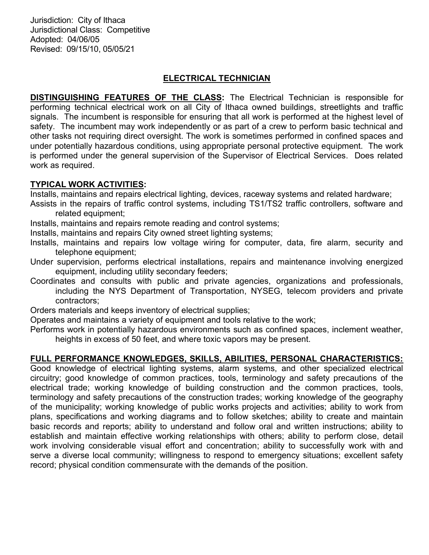Jurisdiction: City of Ithaca Jurisdictional Class: Competitive Adopted: 04/06/05 Revised: 09/15/10, 05/05/21

# ELECTRICAL TECHNICIAN

DISTINGUISHING FEATURES OF THE CLASS: The Electrical Technician is responsible for performing technical electrical work on all City of Ithaca owned buildings, streetlights and traffic signals. The incumbent is responsible for ensuring that all work is performed at the highest level of safety. The incumbent may work independently or as part of a crew to perform basic technical and other tasks not requiring direct oversight. The work is sometimes performed in confined spaces and under potentially hazardous conditions, using appropriate personal protective equipment. The work is performed under the general supervision of the Supervisor of Electrical Services. Does related work as required.

## TYPICAL WORK ACTIVITIES:

Installs, maintains and repairs electrical lighting, devices, raceway systems and related hardware;

- Assists in the repairs of traffic control systems, including TS1/TS2 traffic controllers, software and related equipment;
- Installs, maintains and repairs remote reading and control systems;
- Installs, maintains and repairs City owned street lighting systems;
- Installs, maintains and repairs low voltage wiring for computer, data, fire alarm, security and telephone equipment;
- Under supervision, performs electrical installations, repairs and maintenance involving energized equipment, including utility secondary feeders;
- Coordinates and consults with public and private agencies, organizations and professionals, including the NYS Department of Transportation, NYSEG, telecom providers and private contractors;
- Orders materials and keeps inventory of electrical supplies;
- Operates and maintains a variety of equipment and tools relative to the work;
- Performs work in potentially hazardous environments such as confined spaces, inclement weather, heights in excess of 50 feet, and where toxic vapors may be present.

# FULL PERFORMANCE KNOWLEDGES, SKILLS, ABILITIES, PERSONAL CHARACTERISTICS:

Good knowledge of electrical lighting systems, alarm systems, and other specialized electrical circuitry; good knowledge of common practices, tools, terminology and safety precautions of the electrical trade; working knowledge of building construction and the common practices, tools, terminology and safety precautions of the construction trades; working knowledge of the geography of the municipality; working knowledge of public works projects and activities; ability to work from plans, specifications and working diagrams and to follow sketches; ability to create and maintain basic records and reports; ability to understand and follow oral and written instructions; ability to establish and maintain effective working relationships with others; ability to perform close, detail work involving considerable visual effort and concentration; ability to successfully work with and serve a diverse local community; willingness to respond to emergency situations; excellent safety record; physical condition commensurate with the demands of the position.